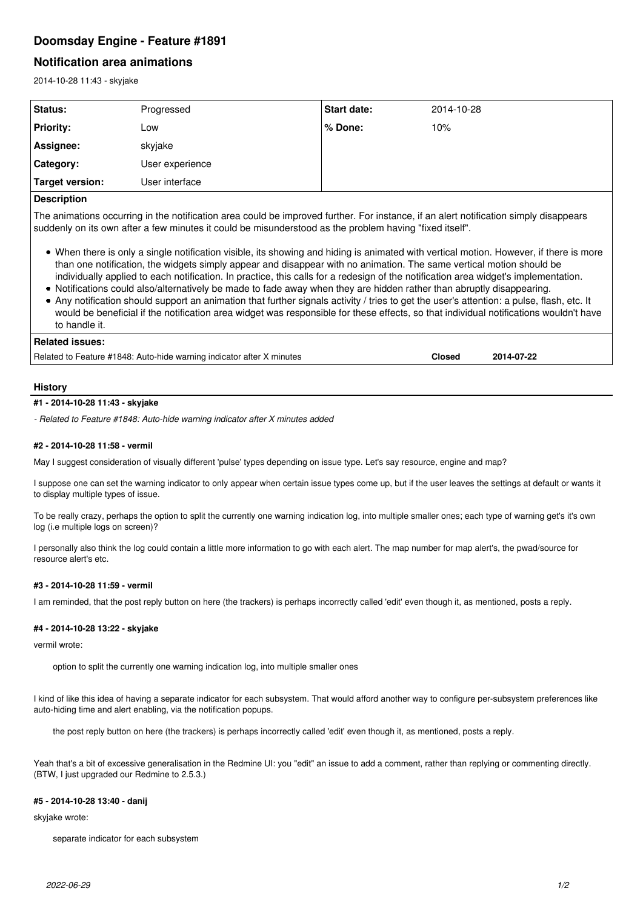# **Doomsday Engine - Feature #1891**

# **Notification area animations**

2014-10-28 11:43 - skyjake

| <b>Status:</b>   | Progressed      | <b>Start date:</b> | 2014-10-28 |
|------------------|-----------------|--------------------|------------|
| <b>Priority:</b> | Low             | l% Done:           | 10%        |
| Assignee:        | skyjake         |                    |            |
| Category:        | User experience |                    |            |
| Target version:  | User interface  |                    |            |

## **Description**

The animations occurring in the notification area could be improved further. For instance, if an alert notification simply disappears suddenly on its own after a few minutes it could be misunderstood as the problem having "fixed itself".

- When there is only a single notification visible, its showing and hiding is animated with vertical motion. However, if there is more than one notification, the widgets simply appear and disappear with no animation. The same vertical motion should be individually applied to each notification. In practice, this calls for a redesign of the notification area widget's implementation.
- Notifications could also/alternatively be made to fade away when they are hidden rather than abruptly disappearing.
- Any notification should support an animation that further signals activity / tries to get the user's attention: a pulse, flash, etc. It would be beneficial if the notification area widget was responsible for these effects, so that individual notifications wouldn't have to handle it.

## **Related issues:**

Related to Feature #1848: Auto-hide warning indicator after X minutes **Closed 2014-07-22**

## **History**

#### **#1 - 2014-10-28 11:43 - skyjake**

*- Related to Feature #1848: Auto-hide warning indicator after X minutes added*

## **#2 - 2014-10-28 11:58 - vermil**

May I suggest consideration of visually different 'pulse' types depending on issue type. Let's say resource, engine and map?

I suppose one can set the warning indicator to only appear when certain issue types come up, but if the user leaves the settings at default or wants it to display multiple types of issue.

To be really crazy, perhaps the option to split the currently one warning indication log, into multiple smaller ones; each type of warning get's it's own log (i.e multiple logs on screen)?

I personally also think the log could contain a little more information to go with each alert. The map number for map alert's, the pwad/source for resource alert's etc.

## **#3 - 2014-10-28 11:59 - vermil**

I am reminded, that the post reply button on here (the trackers) is perhaps incorrectly called 'edit' even though it, as mentioned, posts a reply.

#### **#4 - 2014-10-28 13:22 - skyjake**

#### vermil wrote:

option to split the currently one warning indication log, into multiple smaller ones

I kind of like this idea of having a separate indicator for each subsystem. That would afford another way to configure per-subsystem preferences like auto-hiding time and alert enabling, via the notification popups.

the post reply button on here (the trackers) is perhaps incorrectly called 'edit' even though it, as mentioned, posts a reply.

Yeah that's a bit of excessive generalisation in the Redmine UI: you "edit" an issue to add a comment, rather than replying or commenting directly. (BTW, I just upgraded our Redmine to 2.5.3.)

#### **#5 - 2014-10-28 13:40 - danij**

skyjake wrote:

separate indicator for each subsystem